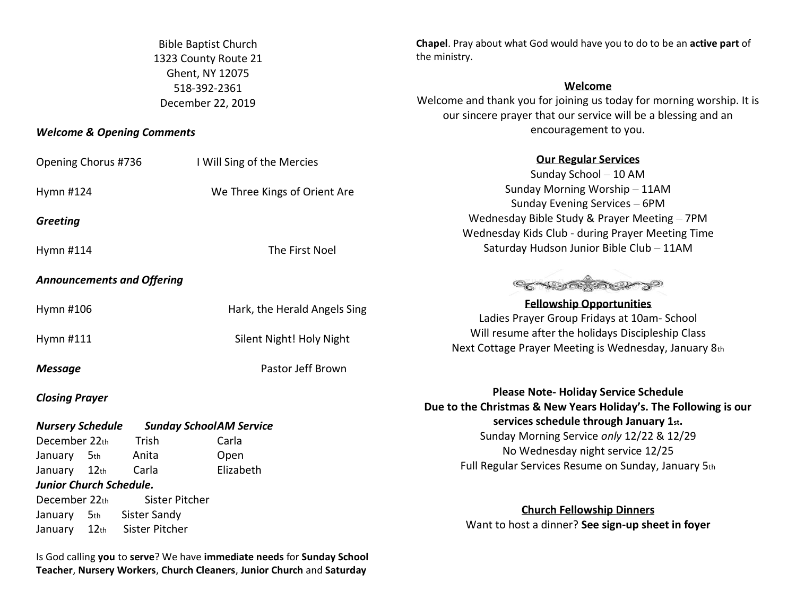Bible Baptist Church 1323 County Route 21 Ghent, NY 12075 518-392-2361 December 22, 2019

#### *Welcome & Opening Comments*

| Opening Chorus #736               | I Will Sing of the Mercies   |  |
|-----------------------------------|------------------------------|--|
| Hymn #124                         | We Three Kings of Orient Are |  |
| Greeting                          |                              |  |
| Hymn #114                         | The First Noel               |  |
| <b>Announcements and Offering</b> |                              |  |
| Hymn #106                         | Hark, the Herald Angels Sing |  |
| Hymn #111                         | Silent Night! Holy Night     |  |
| <b>Message</b>                    | Pastor Jeff Brown            |  |
|                                   |                              |  |

#### *Closing Prayer*

| <b>Nursery Schedule</b> |  | <b>Sunday SchoolAM Service</b> |           |  |
|-------------------------|--|--------------------------------|-----------|--|
| December 22th           |  | Trish                          | Carla     |  |
| January 5th             |  | Anita                          | Open      |  |
| January 12th            |  | Carla                          | Elizabeth |  |
| Junior Church Schedule. |  |                                |           |  |
| December 22th           |  | Sister Pitcher                 |           |  |
|                         |  | January 5th Sister Sandy       |           |  |
|                         |  | January 12th Sister Pitcher    |           |  |

Is God calling **you** to **serve**? We have **immediate needs** for **Sunday School Teacher**, **Nursery Workers**, **Church Cleaners**, **Junior Church** and **Saturday** 

**Chapel**. Pray about what God would have you to do to be an **active part** of the ministry.

## **Welcome**

Welcome and thank you for joining us today for morning worship. It is our sincere prayer that our service will be a blessing and an encouragement to you.

## **Our Regular Services**

Sunday School – 10 AM Sunday Morning Worship – 11AM Sunday Evening Services – 6PM Wednesday Bible Study & Prayer Meeting – 7PM Wednesday Kids Club - during Prayer Meeting Time Saturday Hudson Junior Bible Club – 11AM



**Fellowship Opportunities**  Ladies Prayer Group Fridays at 10am- School Will resume after the holidays Discipleship Class Next Cottage Prayer Meeting is Wednesday, January 8th

**Please Note- Holiday Service Schedule Due to the Christmas & New Years Holiday's. The Following is our services schedule through January 1st.**  Sunday Morning Service *only* 12/22 & 12/29 No Wednesday night service 12/25 Full Regular Services Resume on Sunday, January 5th

> **Church Fellowship Dinners** Want to host a dinner? **See sign-up sheet in foyer**